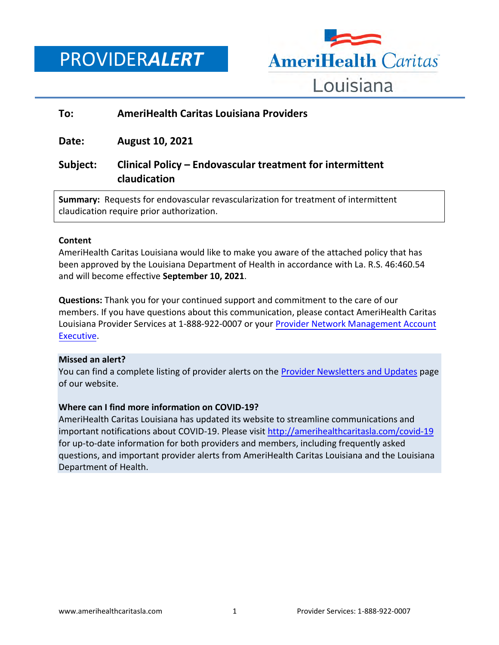PROVIDER*ALERT*



#### **To: AmeriHealth Caritas Louisiana Providers**

**Date: August 10, 2021**

## **Subject: Clinical Policy – Endovascular treatment for intermittent claudication**

**Summary:** Requests for endovascular revascularization for treatment of intermittent claudication require prior authorization.

#### **Content**

AmeriHealth Caritas Louisiana would like to make you aware of the attached policy that has been approved by the Louisiana Department of Health in accordance with La. R.S. 46:460.54 and will become effective **September 10, 2021**.

**Questions:** Thank you for your continued support and commitment to the care of our members. If you have questions about this communication, please contact AmeriHealth Caritas Louisiana Provider Services at 1-888-922-0007 or your [Provider Network Management Account](http://www.amerihealthcaritasla.com/pdf/provider/account-executives.pdf)  [Executive.](http://www.amerihealthcaritasla.com/pdf/provider/account-executives.pdf)

#### **Missed an alert?**

You can find a complete listing of provider alerts on the **Provider Newsletters and Updates** page of our website.

#### **Where can I find more information on COVID-19?**

AmeriHealth Caritas Louisiana has updated its website to streamline communications and important notifications about COVID-19. Please visit<http://amerihealthcaritasla.com/covid-19> for up-to-date information for both providers and members, including frequently asked questions, and important provider alerts from AmeriHealth Caritas Louisiana and the Louisiana Department of Health.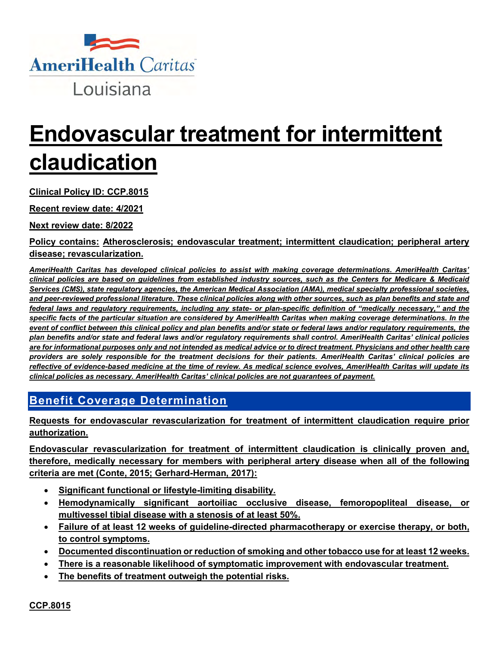

# **Endovascular treatment for intermittent claudication**

**Clinical Policy ID: CCP.8015**

**Recent review date: 4/2021**

**Next review date: 8/2022**

**Policy contains: Atherosclerosis; endovascular treatment; intermittent claudication; peripheral artery disease; revascularization.**

*AmeriHealth Caritas has developed clinical policies to assist with making coverage determinations. AmeriHealth Caritas' clinical policies are based on guidelines from established industry sources, such as the Centers for Medicare & Medicaid Services (CMS), state regulatory agencies, the American Medical Association (AMA), medical specialty professional societies,*  and peer-reviewed professional literature. These clinical policies along with other sources, such as plan benefits and state and *federal laws and regulatory requirements, including any state- or plan-specific definition of "medically necessary," and the specific facts of the particular situation are considered by AmeriHealth Caritas when making coverage determinations. In the event of conflict between this clinical policy and plan benefits and/or state or federal laws and/or regulatory requirements, the plan benefits and/or state and federal laws and/or regulatory requirements shall control. AmeriHealth Caritas' clinical policies are for informational purposes only and not intended as medical advice or to direct treatment. Physicians and other health care providers are solely responsible for the treatment decisions for their patients. AmeriHealth Caritas' clinical policies are reflective of evidence-based medicine at the time of review. As medical science evolves, AmeriHealth Caritas will update its clinical policies as necessary. AmeriHealth Caritas' clinical policies are not guarantees of payment.*

## **Benefit Coverage Determination**

**Requests for endovascular revascularization for treatment of intermittent claudication require prior authorization.** 

**Endovascular revascularization for treatment of intermittent claudication is clinically proven and, therefore, medically necessary for members with peripheral artery disease when all of the following criteria are met (Conte, 2015; Gerhard-Herman, 2017):**

- **Significant functional or lifestyle-limiting disability.**
- **Hemodynamically significant aortoiliac occlusive disease, femoropopliteal disease, or multivessel tibial disease with a stenosis of at least 50%.**
- **Failure of at least 12 weeks of guideline-directed pharmacotherapy or exercise therapy, or both, to control symptoms.**
- **Documented discontinuation or reduction of smoking and other tobacco use for at least 12 weeks.**
- **There is a reasonable likelihood of symptomatic improvement with endovascular treatment.**
- **The benefits of treatment outweigh the potential risks.**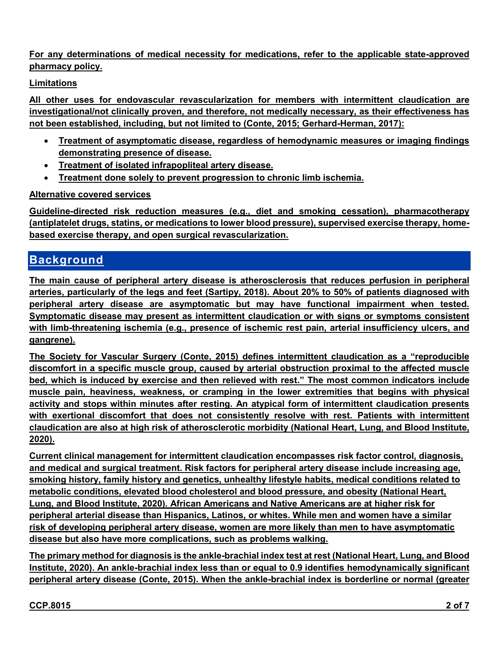**For any determinations of medical necessity for medications, refer to the applicable state-approved pharmacy policy.**

## **Limitations**

**All other uses for endovascular revascularization for members with intermittent claudication are investigational/not clinically proven, and therefore, not medically necessary, as their effectiveness has not been established, including, but not limited to (Conte, 2015; Gerhard-Herman, 2017):**

- **Treatment of asymptomatic disease, regardless of hemodynamic measures or imaging findings demonstrating presence of disease.**
- **Treatment of isolated infrapopliteal artery disease.**
- **Treatment done solely to prevent progression to chronic limb ischemia.**

## **Alternative covered services**

**Guideline-directed risk reduction measures (e.g., diet and smoking cessation), pharmacotherapy (antiplatelet drugs, statins, or medications to lower blood pressure), supervised exercise therapy, homebased exercise therapy, and open surgical revascularization.** 

## **Background**

**The main cause of peripheral artery disease is atherosclerosis that reduces perfusion in peripheral arteries, particularly of the legs and feet (Sartipy, 2018). About 20% to 50% of patients diagnosed with peripheral artery disease are asymptomatic but may have functional impairment when tested. Symptomatic disease may present as intermittent claudication or with signs or symptoms consistent with limb-threatening ischemia (e.g., presence of ischemic rest pain, arterial insufficiency ulcers, and gangrene).**

**The Society for Vascular Surgery (Conte, 2015) defines intermittent claudication as a "reproducible discomfort in a specific muscle group, caused by arterial obstruction proximal to the affected muscle bed, which is induced by exercise and then relieved with rest." The most common indicators include muscle pain, heaviness, weakness, or cramping in the lower extremities that begins with physical activity and stops within minutes after resting. An atypical form of intermittent claudication presents with exertional discomfort that does not consistently resolve with rest. Patients with intermittent claudication are also at high risk of atherosclerotic morbidity (National Heart, Lung, and Blood Institute, 2020).**

**Current clinical management for intermittent claudication encompasses risk factor control, diagnosis, and medical and surgical treatment. Risk factors for peripheral artery disease include increasing age, smoking history, family history and genetics, unhealthy lifestyle habits, medical conditions related to metabolic conditions, elevated blood cholesterol and blood pressure, and obesity (National Heart, Lung, and Blood Institute, 2020). African Americans and Native Americans are at higher risk for peripheral arterial disease than Hispanics, Latinos, or whites. While men and women have a similar risk of developing peripheral artery disease, women are more likely than men to have asymptomatic disease but also have more complications, such as problems walking.** 

**The primary method for diagnosis is the ankle-brachial index test at rest (National Heart, Lung, and Blood Institute, 2020). An ankle-brachial index less than or equal to 0.9 identifies hemodynamically significant peripheral artery disease (Conte, 2015). When the ankle-brachial index is borderline or normal (greater**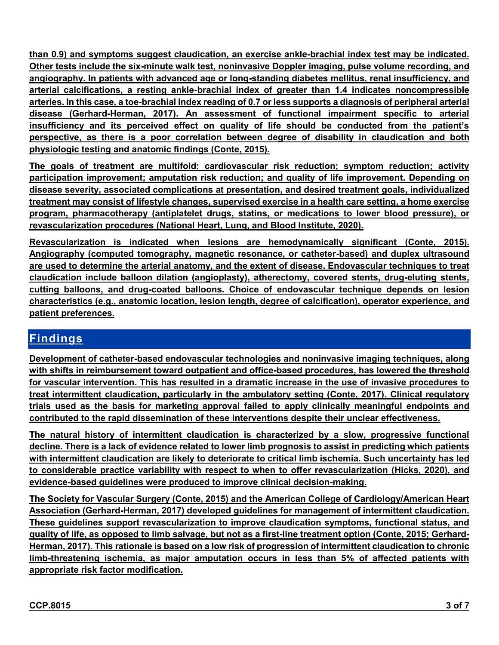**than 0.9) and symptoms suggest claudication, an exercise ankle-brachial index test may be indicated. Other tests include the six-minute walk test, noninvasive Doppler imaging, pulse volume recording, and angiography. In patients with advanced age or long-standing diabetes mellitus, renal insufficiency, and arterial calcifications, a resting ankle-brachial index of greater than 1.4 indicates noncompressible arteries. In this case, a toe-brachial index reading of 0.7 or less supports a diagnosis of peripheral arterial disease (Gerhard-Herman, 2017). An assessment of functional impairment specific to arterial insufficiency and its perceived effect on quality of life should be conducted from the patient's perspective, as there is a poor correlation between degree of disability in claudication and both physiologic testing and anatomic findings (Conte, 2015).**

**The goals of treatment are multifold: cardiovascular risk reduction; symptom reduction; activity participation improvement; amputation risk reduction; and quality of life improvement. Depending on disease severity, associated complications at presentation, and desired treatment goals, individualized treatment may consist of lifestyle changes, supervised exercise in a health care setting, a home exercise program, pharmacotherapy (antiplatelet drugs, statins, or medications to lower blood pressure), or revascularization procedures (National Heart, Lung, and Blood Institute, 2020).**

**Revascularization is indicated when lesions are hemodynamically significant (Conte, 2015). Angiography (computed tomography, magnetic resonance, or catheter-based) and duplex ultrasound are used to determine the arterial anatomy, and the extent of disease. Endovascular techniques to treat claudication include balloon dilation (angioplasty), atherectomy, covered stents, drug-eluting stents, cutting balloons, and drug-coated balloons. Choice of endovascular technique depends on lesion characteristics (e.g., anatomic location, lesion length, degree of calcification), operator experience, and patient preferences.**

## **Findings**

**Development of catheter-based endovascular technologies and noninvasive imaging techniques, along with shifts in reimbursement toward outpatient and office-based procedures, has lowered the threshold for vascular intervention. This has resulted in a dramatic increase in the use of invasive procedures to treat intermittent claudication, particularly in the ambulatory setting (Conte, 2017). Clinical regulatory trials used as the basis for marketing approval failed to apply clinically meaningful endpoints and contributed to the rapid dissemination of these interventions despite their unclear effectiveness.** 

**The natural history of intermittent claudication is characterized by a slow, progressive functional decline. There is a lack of evidence related to lower limb prognosis to assist in predicting which patients with intermittent claudication are likely to deteriorate to critical limb ischemia. Such uncertainty has led to considerable practice variability with respect to when to offer revascularization (Hicks, 2020), and evidence-based guidelines were produced to improve clinical decision-making.**

**The Society for Vascular Surgery (Conte, 2015) and the American College of Cardiology/American Heart Association (Gerhard-Herman, 2017) developed guidelines for management of intermittent claudication. These guidelines support revascularization to improve claudication symptoms, functional status, and quality of life, as opposed to limb salvage, but not as a first-line treatment option (Conte, 2015; Gerhard-Herman, 2017). This rationale is based on a low risk of progression of intermittent claudication to chronic limb-threatening ischemia, as major amputation occurs in less than 5% of affected patients with appropriate risk factor modification.**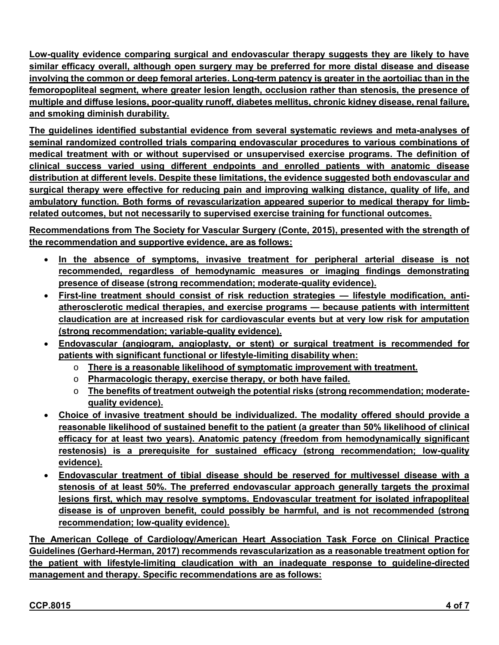**Low-quality evidence comparing surgical and endovascular therapy suggests they are likely to have similar efficacy overall, although open surgery may be preferred for more distal disease and disease involving the common or deep femoral arteries. Long-term patency is greater in the aortoiliac than in the femoropopliteal segment, where greater lesion length, occlusion rather than stenosis, the presence of multiple and diffuse lesions, poor-quality runoff, diabetes mellitus, chronic kidney disease, renal failure, and smoking diminish durability.**

**The guidelines identified substantial evidence from several systematic reviews and meta-analyses of seminal randomized controlled trials comparing endovascular procedures to various combinations of medical treatment with or without supervised or unsupervised exercise programs. The definition of clinical success varied using different endpoints and enrolled patients with anatomic disease distribution at different levels. Despite these limitations, the evidence suggested both endovascular and surgical therapy were effective for reducing pain and improving walking distance, quality of life, and ambulatory function. Both forms of revascularization appeared superior to medical therapy for limbrelated outcomes, but not necessarily to supervised exercise training for functional outcomes.** 

**Recommendations from The Society for Vascular Surgery (Conte, 2015), presented with the strength of the recommendation and supportive evidence, are as follows:**

- **In the absence of symptoms, invasive treatment for peripheral arterial disease is not recommended, regardless of hemodynamic measures or imaging findings demonstrating presence of disease (strong recommendation; moderate-quality evidence).**
- **First-line treatment should consist of risk reduction strategies — lifestyle modification, antiatherosclerotic medical therapies, and exercise programs — because patients with intermittent claudication are at increased risk for cardiovascular events but at very low risk for amputation (strong recommendation; variable-quality evidence).**
- **Endovascular (angiogram, angioplasty, or stent) or surgical treatment is recommended for patients with significant functional or lifestyle-limiting disability when:**
	- o **There is a reasonable likelihood of symptomatic improvement with treatment.**
	- o **Pharmacologic therapy, exercise therapy, or both have failed.**
	- o **The benefits of treatment outweigh the potential risks (strong recommendation; moderatequality evidence).**
- **Choice of invasive treatment should be individualized. The modality offered should provide a reasonable likelihood of sustained benefit to the patient (a greater than 50% likelihood of clinical efficacy for at least two years). Anatomic patency (freedom from hemodynamically significant restenosis) is a prerequisite for sustained efficacy (strong recommendation; low-quality evidence).**
- **Endovascular treatment of tibial disease should be reserved for multivessel disease with a stenosis of at least 50%. The preferred endovascular approach generally targets the proximal lesions first, which may resolve symptoms. Endovascular treatment for isolated infrapopliteal disease is of unproven benefit, could possibly be harmful, and is not recommended (strong recommendation; low-quality evidence).**

**The American College of Cardiology/American Heart Association Task Force on Clinical Practice Guidelines (Gerhard-Herman, 2017) recommends revascularization as a reasonable treatment option for the patient with lifestyle-limiting claudication with an inadequate response to guideline-directed management and therapy. Specific recommendations are as follows:**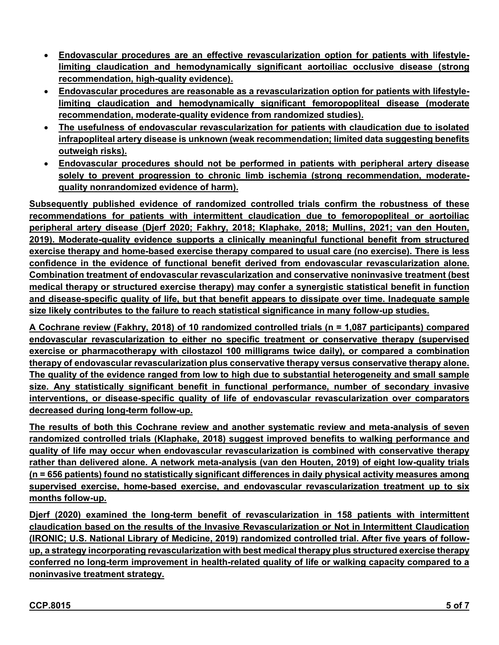- **Endovascular procedures are an effective revascularization option for patients with lifestylelimiting claudication and hemodynamically significant aortoiliac occlusive disease (strong recommendation, high-quality evidence).**
- **Endovascular procedures are reasonable as a revascularization option for patients with lifestylelimiting claudication and hemodynamically significant femoropopliteal disease (moderate recommendation, moderate-quality evidence from randomized studies).**
- **The usefulness of endovascular revascularization for patients with claudication due to isolated infrapopliteal artery disease is unknown (weak recommendation; limited data suggesting benefits outweigh risks).**
- **Endovascular procedures should not be performed in patients with peripheral artery disease solely to prevent progression to chronic limb ischemia (strong recommendation, moderatequality nonrandomized evidence of harm).**

**Subsequently published evidence of randomized controlled trials confirm the robustness of these recommendations for patients with intermittent claudication due to femoropopliteal or aortoiliac peripheral artery disease (Djerf 2020; Fakhry, 2018; Klaphake, 2018; Mullins, 2021; van den Houten, 2019). Moderate-quality evidence supports a clinically meaningful functional benefit from structured exercise therapy and home-based exercise therapy compared to usual care (no exercise). There is less confidence in the evidence of functional benefit derived from endovascular revascularization alone. Combination treatment of endovascular revascularization and conservative noninvasive treatment (best medical therapy or structured exercise therapy) may confer a synergistic statistical benefit in function and disease-specific quality of life, but that benefit appears to dissipate over time. Inadequate sample size likely contributes to the failure to reach statistical significance in many follow-up studies.** 

**A Cochrane review (Fakhry, 2018) of 10 randomized controlled trials (n = 1,087 participants) compared endovascular revascularization to either no specific treatment or conservative therapy (supervised exercise or pharmacotherapy with cilostazol 100 milligrams twice daily), or compared a combination therapy of endovascular revascularization plus conservative therapy versus conservative therapy alone. The quality of the evidence ranged from low to high due to substantial heterogeneity and small sample size. Any statistically significant benefit in functional performance, number of secondary invasive interventions, or disease-specific quality of life of endovascular revascularization over comparators decreased during long-term follow-up.** 

**The results of both this Cochrane review and another systematic review and meta-analysis of seven randomized controlled trials (Klaphake, 2018) suggest improved benefits to walking performance and quality of life may occur when endovascular revascularization is combined with conservative therapy rather than delivered alone. A network meta-analysis (van den Houten, 2019) of eight low-quality trials (n = 656 patients) found no statistically significant differences in daily physical activity measures among supervised exercise, home-based exercise, and endovascular revascularization treatment up to six months follow-up.** 

**Djerf (2020) examined the long-term benefit of revascularization in 158 patients with intermittent claudication based on the results of the Invasive Revascularization or Not in Intermittent Claudication (IRONIC; U.S. National Library of Medicine, 2019) randomized controlled trial. After five years of followup, a strategy incorporating revascularization with best medical therapy plus structured exercise therapy conferred no long-term improvement in health-related quality of life or walking capacity compared to a noninvasive treatment strategy.**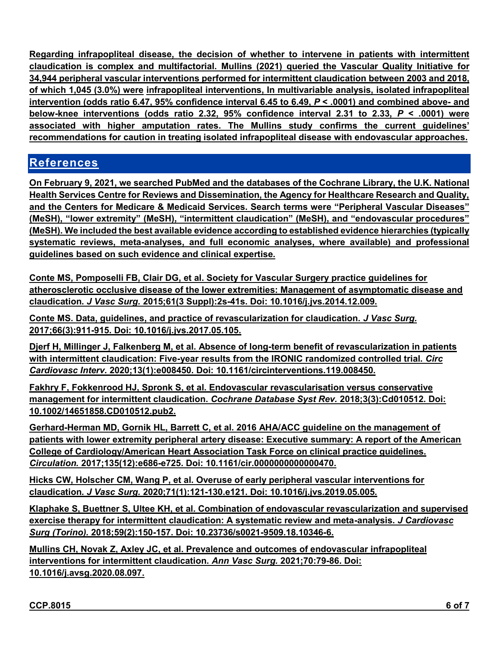**Regarding infrapopliteal disease, the decision of whether to intervene in patients with intermittent claudication is complex and multifactorial. Mullins (2021) queried the Vascular Quality Initiative for 34,944 peripheral vascular interventions performed for intermittent claudication between 2003 and 2018, of which 1,045 (3.0%) were infrapopliteal interventions, In multivariable analysis, isolated infrapopliteal intervention (odds ratio 6.47, 95% confidence interval 6.45 to 6.49,** *P* **< .0001) and combined above- and below-knee interventions (odds ratio 2.32, 95% confidence interval 2.31 to 2.33,** *P* **< .0001) were associated with higher amputation rates. The Mullins study confirms the current guidelines' recommendations for caution in treating isolated infrapopliteal disease with endovascular approaches.**

## **References**

**On February 9, 2021, we searched PubMed and the databases of the Cochrane Library, the U.K. National Health Services Centre for Reviews and Dissemination, the Agency for Healthcare Research and Quality, and the Centers for Medicare & Medicaid Services. Search terms were "Peripheral Vascular Diseases" (MeSH), "lower extremity" (MeSH), "intermittent claudication" (MeSH), and "endovascular procedures" (MeSH). We included the best available evidence according to established evidence hierarchies (typically systematic reviews, meta-analyses, and full economic analyses, where available) and professional guidelines based on such evidence and clinical expertise.**

**Conte MS, Pomposelli FB, Clair DG, et al. Society for Vascular Surgery practice guidelines for atherosclerotic occlusive disease of the lower extremities: Management of asymptomatic disease and claudication.** *J Vasc Surg.* **2015;61(3 Suppl):2s-41s. Doi: 10.1016/j.jvs.2014.12.009.**

**Conte MS. Data, guidelines, and practice of revascularization for claudication.** *J Vasc Surg.*  **2017;66(3):911-915. Doi: 10.1016/j.jvs.2017.05.105.**

**Djerf H, Millinger J, Falkenberg M, et al. Absence of long-term benefit of revascularization in patients with intermittent claudication: Five-year results from the IRONIC randomized controlled trial.** *Circ Cardiovasc Interv.* **2020;13(1):e008450. Doi: 10.1161/circinterventions.119.008450.**

**Fakhry F, Fokkenrood HJ, Spronk S, et al. Endovascular revascularisation versus conservative management for intermittent claudication.** *Cochrane Database Syst Rev.* **2018;3(3):Cd010512. Doi: 10.1002/14651858.CD010512.pub2.**

**Gerhard-Herman MD, Gornik HL, Barrett C, et al. 2016 AHA/ACC guideline on the management of patients with lower extremity peripheral artery disease: Executive summary: A report of the American College of Cardiology/American Heart Association Task Force on clinical practice guidelines.**  *Circulation.* **2017;135(12):e686-e725. Doi: 10.1161/cir.0000000000000470.**

**Hicks CW, Holscher CM, Wang P, et al. Overuse of early peripheral vascular interventions for claudication.** *J Vasc Surg.* **2020;71(1):121-130.e121. Doi: 10.1016/j.jvs.2019.05.005.**

**Klaphake S, Buettner S, Ultee KH, et al. Combination of endovascular revascularization and supervised exercise therapy for intermittent claudication: A systematic review and meta-analysis.** *J Cardiovasc Surg (Torino).* **2018;59(2):150-157. Doi: 10.23736/s0021-9509.18.10346-6.**

**Mullins CH, Novak Z, Axley JC, et al. Prevalence and outcomes of endovascular infrapopliteal interventions for intermittent claudication.** *Ann Vasc Surg.* **2021;70:79-86. Doi: 10.1016/j.avsg.2020.08.097.**